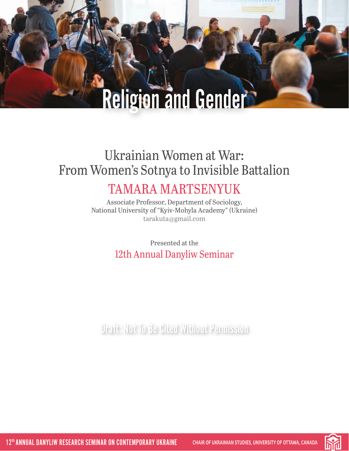# Ukrainian Women at War: From Women's Sotnya to Invisible Battalion

# TAMARA MARTSENYUK

Associate Professor, Department of Sociology, National University of "Kyiv-Mohyla Academy" (Ukraine) [tarakuta@gmail.com](mailto:tarakuta%40gmail.com?subject=)

> Presented at the 12th Annual Danyliw Seminar

Draft: Not To Be Cited Without Permission

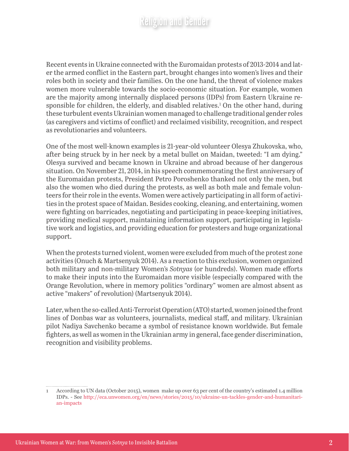Recent events in Ukraine connected with the Euromaidan protests of 2013-2014 and later the armed conflict in the Eastern part, brought changes into women's lives and their roles both in society and their families. On the one hand, the threat of violence makes women more vulnerable towards the socio-economic situation. For example, women are the majority among internally displaced persons (IDPs) from Eastern Ukraine responsible for children, the elderly, and disabled relatives.<sup>1</sup> On the other hand, during these turbulent events Ukrainian women managed to challenge traditional gender roles (as caregivers and victims of conflict) and reclaimed visibility, recognition, and respect as revolutionaries and volunteers.

One of the most well-known examples is 21-year-old volunteer Olesya Zhukovska, who, after being struck by in her neck by a metal bullet on Maidan, tweeted: "I am dying." Olesya survived and became known in Ukraine and abroad because of her dangerous situation. On November 21, 2014, in his speech commemorating the first anniversary of the Euromaidan protests, President Petro Poroshenko thanked not only the men, but also the women who died during the protests, as well as both male and female volunteers for their role in the events. Women were actively participating in all form of activities in the protest space of Maidan. Besides cooking, cleaning, and entertaining, women were fighting on barricades, negotiating and participating in peace-keeping initiatives, providing medical support, maintaining information support, participating in legislative work and logistics, and providing education for protesters and huge organizational support.

When the protests turned violent, women were excluded from much of the protest zone activities (Onuch & Martsenyuk 2014). As a reaction to this exclusion, women organized both military and non-military Women's *Sotnyas* (or hundreds). Women made efforts to make their inputs into the Euromaidan more visible (especially compared with the Orange Revolution, where in memory politics "ordinary" women are almost absent as active "makers" of revolution) (Martsenyuk 2014).

Later, when the so-called Anti-Terrorist Operation (ATO) started, women joined the front lines of Donbas war as volunteers, journalists, medical staff, and military. Ukrainian pilot Nadiya Savchenko became a symbol of resistance known worldwide. But female fighters, as well as women in the Ukrainian army in general, face gender discrimination, recognition and visibility problems.

<sup>1</sup> According to UN data (October 2015), women make up over 63 per cent of the country's estimated 1.4 million IDPs. - See [http://eca.unwomen.org/en/news/stories/2015/10/ukraine-un-tackles-gender-and-humanitari](http://eca.unwomen.org/en/news/stories/2015/10/ukraine-un-tackles-gender-and-humanitarian-impacts)[an-impacts](http://eca.unwomen.org/en/news/stories/2015/10/ukraine-un-tackles-gender-and-humanitarian-impacts)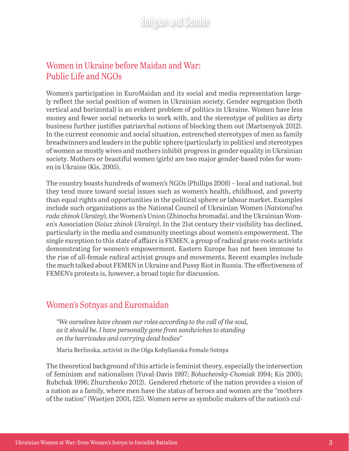#### Women in Ukraine before Maidan and War: Public Life and NGOs

Women's participation in EuroMaidan and its social and media representation largely reflect the social position of women in Ukrainian society. Gender segregation (both vertical and horizontal) is an evident problem of politics in Ukraine. Women have less money and fewer social networks to work with, and the stereotype of politics as dirty business further justifies patriarchal notions of blocking them out (Martsenyuk 2012). In the current economic and social situation, entrenched stereotypes of men as family breadwinners and leaders in the public sphere (particularly in politics) and stereotypes of women as mostly wives and mothers inhibit progress in gender equality in Ukrainian society. Mothers or beautiful women (girls) are two major gender-based roles for women in Ukraine (Kis, 2005).

The country boasts hundreds of women's NGOs (Phillips 2008) – local and national, but they tend more toward social issues such as women's health, childhood, and poverty than equal rights and opportunities in the political sphere or labour market. Examples include such organizations as the National Council of Ukrainian Women (*Natsional'na rada zhinok Ukraïny*), the Women's Union (Zhinocha hromada), and the Ukrainian Women's Association (*Soiuz zhinok Ukraïny*). In the 21st century their visibility has declined, particularly in the media and community meetings about women's empowerment. The single exception to this state of affairs is FEMEN, a group of radical grass-roots activists demonstrating for women's empowerment. Eastern Europe has not been immune to the rise of all-female radical activist groups and movements. Recent examples include the much talked about FEMEN in Ukraine and Pussy Riot in Russia. The effectiveness of FEMEN's protests is, however, a broad topic for discussion.

#### Women's Sotnyas and Euromaidan

*"We ourselves have chosen our roles according to the call of the soul, as it should be. I have personally gone from sandwiches to standing on the barricades and carrying dead bodies"*

Maria Berlinska, activist in the Olga Kobylianska Female Sotnya

The theoretical background of this article is feminist theory, especially the intersection of feminism and nationalism (Yuval-Davis 1997; *Bohachevsky*-*Chomiak* 1994; Kis 2005; Rubchak 1996; Zhurzhenko 2012). Gendered rhetoric of the nation provides a vision of a nation as a family, where men have the status of heroes and women are the "mothers of the nation" (Waetjen 2001, 125). Women serve as symbolic makers of the nation's cul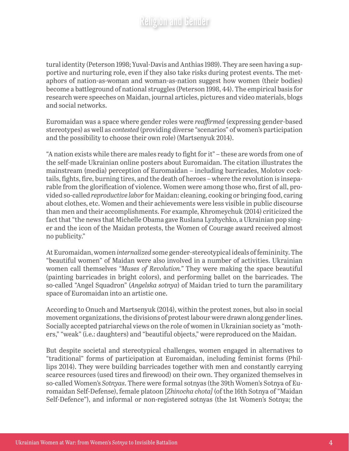tural identity (Peterson 1998; Yuval-Davis and Anthias 1989). They are seen having a supportive and nurturing role, even if they also take risks during protest events. The metaphors of nation-as-woman and woman-as-nation suggest how women (their bodies) become a battleground of national struggles (Peterson 1998, 44). The empirical basis for research were speeches on Maidan, journal articles, pictures and video materials, blogs and social networks.

Euromaidan was a space where gender roles were *reaffirmed* (expressing gender-based stereotypes) as well as *contested* (providing diverse "scenarios" of women's participation and the possibility to choose their own role) (Martsenyuk 2014).

"A nation exists while there are males ready to fight for it" – these are words from one of the self-made Ukrainian online posters about Euromaidan. The citation illustrates the mainstream (media) perception of Euromaidan – including barricades, Molotov cocktails, fights, fire, burning tires, and the death of heroes – where the revolution is inseparable from the glorification of violence. Women were among those who, first of all, provided so-called *reproductive labor* for Maidan: cleaning, cooking or bringing food, caring about clothes, etc. Women and their achievements were less visible in public discourse than men and their accomplishments. For example, Khromeychuk (2014) criticized the fact that "the news that Michelle Obama gave Ruslana Lyzhychko, a Ukrainian pop singer and the icon of the Maidan protests, the Women of Courage award received almost no publicity."

At Euromaidan, women *internalized* some gender-stereotypical ideals of femininity. The "beautiful women" of Maidan were also involved in a number of activities. Ukrainian women call themselves *"Muses of Revolution."* They were making the space beautiful (painting barricades in bright colors), and performing ballet on the barricades. The so-called "Angel Squadron" (*Angelska sotnya*) of Maidan tried to turn the paramilitary space of Euromaidan into an artistic one.

According to Onuch and Martsenyuk (2014), within the protest zones, but also in social movement organizations, the divisions of protest labour were drawn along gender lines. Socially accepted patriarchal views on the role of women in Ukrainian society as "mothers," "weak" (i.e.: daughters) and "beautiful objects," were reproduced on the Maidan.

But despite societal and stereotypical challenges, women engaged in alternatives to "traditional" forms of participation at Euromaidan, including feminist forms (Phillips 2014). They were building barricades together with men and constantly carrying scarce resources (used tires and firewood) on their own. They organized themselves in so-called Women's *Sotnyas*. There were formal sotnyas (the 39th Women's Sotnya of Euromaidan Self-Defense), female platoon [*Zhinocha chota]* (of the 16th Sotnya of "Maidan Self-Defence"), and informal or non-registered sotnyas (the 1st Women's Sotnya; the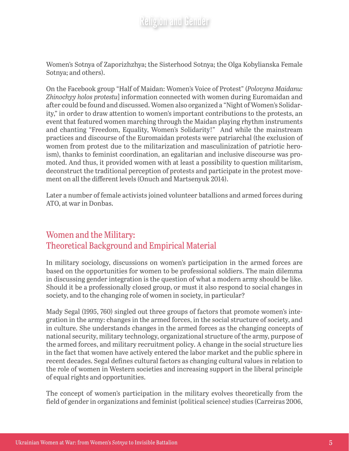Women's Sotnya of Zaporizhzhya; the Sisterhood Sotnya; the Olga Kobylianska Female Sotnya; and others).

On the Facebook group "Half of Maidan: Women's Voice of Protest" (*Polovyna Maidanu: Zhinochyy holos protestu*] information connected with women during Euromaidan and after could be found and discussed. Women also organized a "Night of Women's Solidarity," in order to draw attention to women's important contributions to the protests, an event that featured women marching through the Maidan playing rhythm instruments and chanting "Freedom, Equality, Women's Solidarity!" And while the mainstream practices and discourse of the Euromaidan protests were patriarchal (the exclusion of women from protest due to the militarization and masculinization of patriotic heroism), thanks to feminist coordination, an egalitarian and inclusive discourse was promoted. And thus, it provided women with at least a possibility to question militarism, deconstruct the traditional perception of protests and participate in the protest movement on all the different levels (Onuch and Martsenyuk 2014).

Later a number of female activists joined volunteer batallions and armed forces during ATO, at war in Donbas.

#### Women and the Military: Theoretical Background and Empirical Material

In military sociology, discussions on women's participation in the armed forces are based on the opportunities for women to be professional soldiers. The main dilemma in discussing gender integration is the question of what a modern army should be like. Should it be a professionally closed group, or must it also respond to social changes in society, and to the changing role of women in society, in particular?

Mady Segal (1995, 760) singled out three groups of factors that promote women's integration in the army: changes in the armed forces, in the social structure of society, and in culture. She understands changes in the armed forces as the changing concepts of national security, military technology, organizational structure of the army, purpose of the armed forces, and military recruitment policy. A change in the social structure lies in the fact that women have actively entered the labor market and the public sphere in recent decades. Segal defines cultural factors as changing cultural values in relation to the role of women in Western societies and increasing support in the liberal principle of equal rights and opportunities.

The concept of women's participation in the military evolves theoretically from the field of gender in organizations and feminist (political science) studies (Carreiras 2006,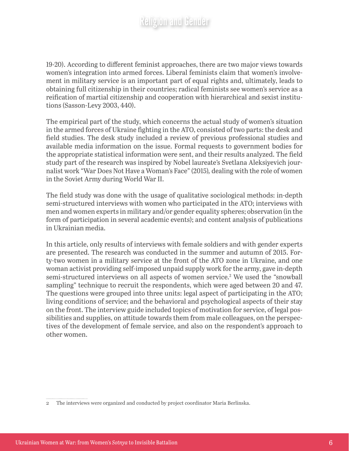19-20). According to different feminist approaches, there are two major views towards women's integration into armed forces. Liberal feminists claim that women's involvement in military service is an important part of equal rights and, ultimately, leads to obtaining full citizenship in their countries; radical feminists see women's service as a reification of martial citizenship and cooperation with hierarchical and sexist institutions (Sasson-Levy 2003, 440).

The empirical part of the study, which concerns the actual study of women's situation in the armed forces of Ukraine fighting in the ATO, consisted of two parts: the desk and field studies. The desk study included a review of previous professional studies and available media information on the issue. Formal requests to government bodies for the appropriate statistical information were sent, and their results analyzed. The field study part of the research was inspired by Nobel laureate's Svetlana Aleksiyevich journalist work "War Does Not Have a Woman's Face" (2015)*,* dealing with the role of women in the Soviet Army during World War II.

The field study was done with the usage of qualitative sociological methods: in-depth semi-structured interviews with women who participated in the ATO; interviews with men and women experts in military and/or gender equality spheres; observation (in the form of participation in several academic events); and content analysis of publications in Ukrainian media.

In this article, only results of interviews with female soldiers and with gender experts are presented. The research was conducted in the summer and autumn of 2015. Forty-two women in a military service at the front of the ATO zone in Ukraine, and one woman activist providing self-imposed unpaid supply work for the army, gave in-depth semi-structured interviews on all aspects of women service.<sup>2</sup> We used the "snowball sampling" technique to recruit the respondents, which were aged between 20 and 47. The questions were grouped into three units: legal aspect of participating in the ATO; living conditions of service; and the behavioral and psychological aspects of their stay on the front. The interview guide included topics of motivation for service, of legal possibilities and supplies, on attitude towards them from male colleagues, on the perspectives of the development of female service, and also on the respondent's approach to other women.

<sup>2</sup> The interviews were organized and conducted by project coordinator Maria Berlinska.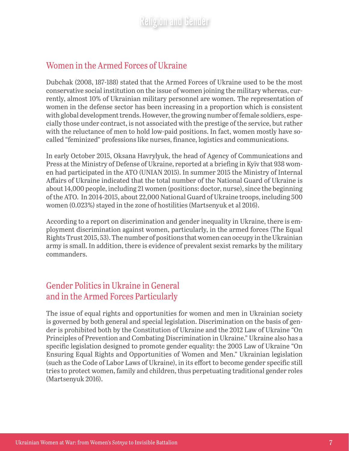#### Women in the Armed Forces of Ukraine

Dubchak (2008, 187-188) stated that the Armed Forces of Ukraine used to be the most conservative social institution on the issue of women joining the military whereas, currently, almost 10% of Ukrainian military personnel are women. The representation of women in the defense sector has been increasing in a proportion which is consistent with global development trends. However, the growing number of female soldiers, especially those under contract, is not associated with the prestige of the service, but rather with the reluctance of men to hold low-paid positions. In fact, women mostly have socalled "feminized" professions like nurses, finance, logistics and communications.

In early October 2015, Oksana Havrylyuk, the head of Agency of Communications and Press at the Ministry of Defense of Ukraine, reported at a briefing in Kyïv that 938 women had participated in the ATO (UNIAN 2015). In summer 2015 the Ministry of Internal Affairs of Ukraine indicated that the total number of the National Guard of Ukraine is about 14,000 people, including 21 women (positions: doctor, nurse), since the beginning of the ATO. In 2014-2015, about 22,000 National Guard of Ukraine troops, including 500 women (0.023%) stayed in the zone of hostilities (Martsenyuk et al 2016).

According to a report on discrimination and gender inequality in Ukraine, there is employment discrimination against women, particularly, in the armed forces (The Equal Rights Trust 2015, 53). The number of positions that women can occupy in the Ukrainian army is small. In addition, there is evidence of prevalent sexist remarks by the military commanders.

#### Gender Politics in Ukraine in General and in the Armed Forces Particularly

The issue of equal rights and opportunities for women and men in Ukrainian society is governed by both general and special legislation. Discrimination on the basis of gender is prohibited both by the Constitution of Ukraine and the 2012 Law of Ukraine "On Principles of Prevention and Combating Discrimination in Ukraine." Ukraine also has a specific legislation designed to promote gender equality: the 2005 Law of Ukraine "On Ensuring Equal Rights and Opportunities of Women and Men." Ukrainian legislation (such as the Code of Labor Laws of Ukraine), in its effort to become gender specific still tries to protect women, family and children, thus perpetuating traditional gender roles (Martsenyuk 2016).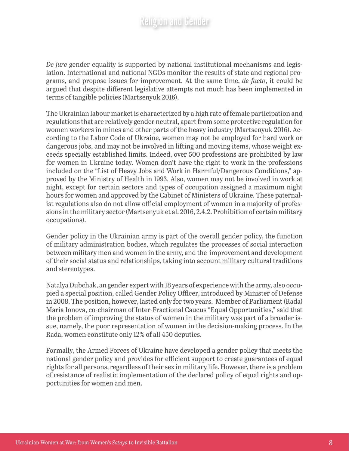*De jure* gender equality is supported by national institutional mechanisms and legislation. International and national NGOs monitor the results of state and regional programs, and propose issues for improvement. At the same time, *de facto*, it could be argued that despite different legislative attempts not much has been implemented in terms of tangible policies (Martsenyuk 2016).

The Ukrainian labour market is characterized by a high rate of female participation and regulations that are relatively gender neutral, apart from some protective regulation for women workers in mines and other parts of the heavy industry (Martsenyuk 2016). According to the Labor Code of Ukraine, women may not be employed for hard work or dangerous jobs, and may not be involved in lifting and moving items, whose weight exceeds specially established limits. Indeed, over 500 professions are prohibited by law for women in Ukraine today. Women don't have the right to work in the professions included on the "List of Heavy Jobs and Work in Harmful/Dangerous Conditions," approved by the Ministry of Health in 1993. Also, women may not be involved in work at night, except for certain sectors and types of occupation assigned a maximum night hours for women and approved by the Cabinet of Ministers of Ukraine. These paternalist regulations also do not allow official employment of women in a majority of professions in the military sector (Martsenyuk et al. 2016, 2.4.2. Prohibition of certain military occupations).

Gender policy in the Ukrainian army is part of the overall gender policy, the function of military administration bodies, which regulates the processes of social interaction between military men and women in the army, and the improvement and development of their social status and relationships, taking into account military cultural traditions and stereotypes.

Natalya Dubchak, an gender expert with 18 years of experience with the army, also occupied a special position, called Gender Policy Officer, introduced by Minister of Defense in 2008. The position, however, lasted only for two years. Member of Parliament (Rada) Maria Ionova, co-chairman of Inter-Fractional Caucus "Equal Opportunities," said that the problem of improving the status of women in the military was part of a broader issue, namely, the poor representation of women in the decision-making process. In the Rada, women constitute only 12% of all 450 deputies.

Formally, the Armed Forces of Ukraine have developed a gender policy that meets the national gender policy and provides for efficient support to create guarantees of equal rights for all persons, regardless of their sex in military life. However, there is a problem of resistance of realistic implementation of the declared policy of equal rights and opportunities for women and men.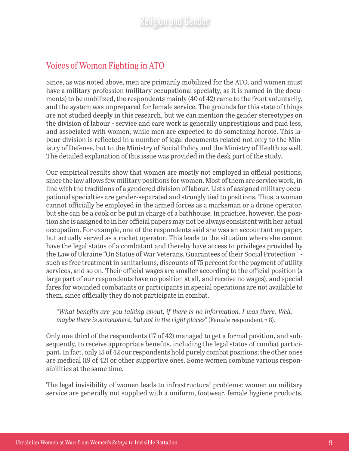#### Voices of Women Fighting in ATO

Since, as was noted above, men are primarily mobilized for the ATO, and women must have a military profession (military occupational specialty, as it is named in the documents) to be mobilized, the respondents mainly (40 of 42) came to the front voluntarily, and the system was unprepared for female service. The grounds for this state of things are not studied deeply in this research, but we can mention the gender stereotypes on the division of labour - service and care work is generally unprestigious and paid less, and associated with women, while men are expected to do something heroic. This labour division is reflected in a number of legal documents related not only to the Ministry of Defense, but to the Ministry of Social Policy and the Ministry of Health as well. The detailed explanation of this issue was provided in the desk part of the study.

Our empirical results show that women are mostly not employed in official positions, since the law allows few military positions for women. Most of them are service work, in line with the traditions of a gendered division of labour. Lists of assigned military occupational specialties are gender-separated and strongly tied to positions. Thus, a woman cannot officially be employed in the armed forces as a marksman or a drone operator, but she can be a cook or be put in charge of a bathhouse. In practice, however, the position she is assigned to in her official papers may not be always consistent with her actual occupation. For example, one of the respondents said she was an accountant on paper, but actually served as a rocket operator. This leads to the situation where she cannot have the legal status of a combatant and thereby have access to privileges provided by the Law of Ukraine "On Status of War Veterans, Guarantees of their Social Protection" such as free treatment in sanitariums, discounts of 75 percent for the payment of utility services, and so on. Their official wages are smaller according to the official position (a large part of our respondents have no position at all, and receive no wages), and special fares for wounded combatants or participants in special operations are not available to them, since officially they do not participate in combat.

*"What benefits are you talking about, if there is no information. I was there. Well, maybe there is somewhere, but not in the right places*" (Female respondent #8).

Only one third of the respondents (17 of 42) managed to get a formal position, and subsequently, to receive appropriate benefits, including the legal status of combat participant. In fact, only 15 of 42 our respondents hold purely combat positions; the other ones are medical (19 of 42) or other supportive ones. Some women combine various responsibilities at the same time.

The legal invisibility of women leads to infrastructural problems: women on military service are generally not supplied with a uniform, footwear, female hygiene products,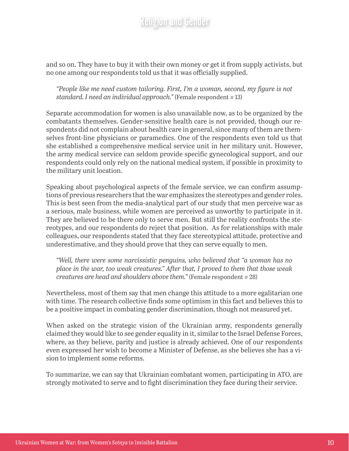and so on. They have to buy it with their own money or get it from supply activists, but no one among our respondents told us that it was officially supplied.

*"People like me need custom tailoring. First, I'm a woman, second, my figure is not standard. I need an individual approach.*" (Female respondent #13)

Separate accommodation for women is also unavailable now, as to be organized by the combatants themselves. Gender-sensitive health care is not provided, though our respondents did not complain about health care in general, since many of them are themselves front-line physicians or paramedics. One of the respondents even told us that she established a comprehensive medical service unit in her military unit. However, the army medical service can seldom provide specific gynecological support, and our respondents could only rely on the national medical system, if possible in proximity to the military unit location.

Speaking about psychological aspects of the female service, we can confirm assumptions of previous researchers that the war emphasizes the stereotypes and gender roles. This is best seen from the media-analytical part of our study that men perceive war as a serious, male business, while women are perceived as unworthy to participate in it. They are believed to be there only to serve men. But still the reality confronts the stereotypes, and our respondents do reject that position. As for relationships with male colleagues, our respondents stated that they face stereotypical attitude, protective and underestimative, and they should prove that they can serve equally to men.

*"Well, there were some narcissistic penguins, who believed that "a woman has no place in the war, too weak creatures." After that, I proved to them that those weak creatures are head and shoulders above them.*" (Female respondent #28)

Nevertheless, most of them say that men change this attitude to a more egalitarian one with time. The research collective finds some optimism in this fact and believes this to be a positive impact in combating gender discrimination, though not measured yet.

When asked on the strategic vision of the Ukrainian army, respondents generally claimed they would like to see gender equality in it, similar to the Israel Defense Forces, where, as they believe, parity and justice is already achieved. One of our respondents even expressed her wish to become a Minister of Defense, as she believes she has a vision to implement some reforms.

To summarize, we can say that Ukrainian combatant women, participating in ATO, are strongly motivated to serve and to fight discrimination they face during their service.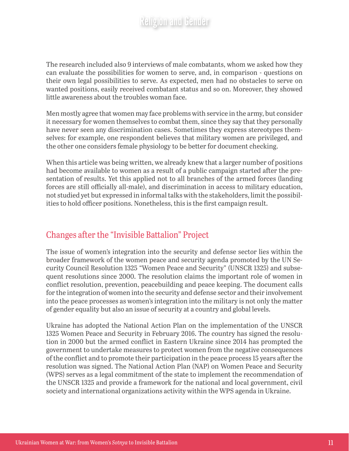The research included also 9 interviews of male combatants, whom we asked how they can evaluate the possibilities for women to serve, and, in comparison - questions on their own legal possibilities to serve. As expected, men had no obstacles to serve on wanted positions, easily received combatant status and so on. Moreover, they showed little awareness about the troubles woman face.

Men mostly agree that women may face problems with service in the army, but consider it necessary for women themselves to combat them, since they say that they personally have never seen any discrimination cases. Sometimes they express stereotypes themselves: for example, one respondent believes that military women are privileged, and the other one considers female physiology to be better for document checking.

When this article was being written, we already knew that a larger number of positions had become available to women as a result of a public campaign started after the presentation of results. Yet this applied not to all branches of the armed forces (landing forces are still officially all-male), and discrimination in access to military education, not studied yet but expressed in informal talks with the stakeholders, limit the possibilities to hold officer positions. Nonetheless, this is the first campaign result.

#### Changes after the "Invisible Battalion" Project

The issue of women's integration into the security and defense sector lies within the broader framework of the women peace and security agenda promoted by the UN Security Council Resolution 1325 "Women Peace and Security" (UNSCR 1325) and subsequent resolutions since 2000. The resolution claims the important role of women in conflict resolution, prevention, peacebuilding and peace keeping. The document calls for the integration of women into the security and defense sector and their involvement into the peace processes as women's integration into the military is not only the matter of gender equality but also an issue of security at a country and global levels.

Ukraine has adopted the National Action Plan on the implementation of the UNSCR 1325 Women Peace and Security in February 2016. The country has signed the resolution in 2000 but the armed conflict in Eastern Ukraine since 2014 has prompted the government to undertake measures to protect women from the negative consequences of the conflict and to promote their participation in the peace process 15 years after the resolution was signed. The National Action Plan (NAP) on Women Peace and Security (WPS) serves as a legal commitment of the state to implement the recommendation of the UNSCR 1325 and provide a framework for the national and local government, civil society and international organizations activity within the WPS agenda in Ukraine.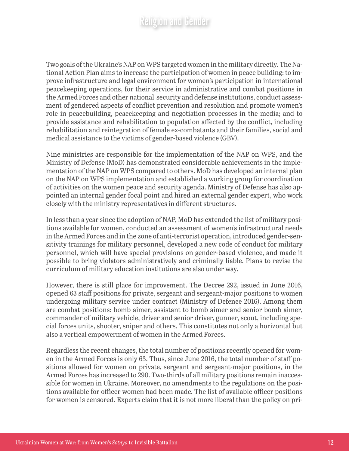Two goals of the Ukraine's NAP on WPS targeted women in the military directly. The National Action Plan aims to increase the participation of women in peace building: to improve infrastructure and legal environment for women's participation in international peacekeeping operations, for their service in administrative and combat positions in the Armed Forces and other national security and defense institutions, conduct assessment of gendered aspects of conflict prevention and resolution and promote women's role in peacebuilding, peacekeeping and negotiation processes in the media; and to provide assistance and rehabilitation to population affected by the conflict, including rehabilitation and reintegration of female ex-combatants and their families, social and medical assistance to the victims of gender-based violence (GBV).

Nine ministries are responsible for the implementation of the NAP on WPS, and the Ministry of Defense (MoD) has demonstrated considerable achievements in the implementation of the NAP on WPS compared to others. MoD has developed an internal plan on the NAP on WPS implementation and established a working group for coordination of activities on the women peace and security agenda. Ministry of Defense has also appointed an internal gender focal point and hired an external gender expert, who work closely with the ministry representatives in different structures.

In less than a year since the adoption of NAP, MoD has extended the list of military positions available for women, conducted an assessment of women's infrastructural needs in the Armed Forces and in the zone of anti-terrorist operation, introduced gender-sensitivity trainings for military personnel, developed a new code of conduct for military personnel, which will have special provisions on gender-based violence, and made it possible to bring violators administratively and criminally liable. Plans to revise the curriculum of military education institutions are also under way.

However, there is still place for improvement. The Decree 292, issued in June 2016, opened 63 staff positions for private, sergeant and sergeant-major positions to women undergoing military service under contract (Ministry of Defence 2016). Among them are combat positions: bomb aimer, assistant to bomb aimer and senior bomb aimer, commander of military vehicle, driver and senior driver, gunner, scout, including special forces units, shooter, sniper and others. This constitutes not only a horizontal but also a vertical empowerment of women in the Armed Forces.

Regardless the recent changes, the total number of positions recently opened for women in the Armed Forces is only 63. Thus, since June 2016, the total number of staff positions allowed for women on private, sergeant and sergeant-major positions, in the Armed Forces has increased to 290. Two-thirds of all military positions remain inaccessible for women in Ukraine. Moreover, no amendments to the regulations on the positions available for officer women had been made. The list of available officer positions for women is censored. Experts claim that it is not more liberal than the policy on pri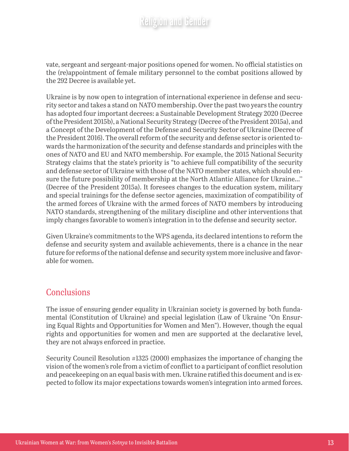vate, sergeant and sergeant-major positions opened for women. No official statistics on the (re)appointment of female military personnel to the combat positions allowed by the 292 Decree is available yet.

Ukraine is by now open to integration of international experience in defense and security sector and takes a stand on NATO membership. Over the past two years the country has adopted four important decrees: a Sustainable Development Strategy 2020 (Decree of the President 2015b), a National Security Strategy (Decree of the President 2015a), and a Concept of the Development of the Defense and Security Sector of Ukraine (Decree of the President 2016). The overall reform of the security and defense sector is oriented towards the harmonization of the security and defense standards and principles with the ones of NATO and EU and NATO membership. For example, the 2015 National Security Strategy claims that the state's priority is "to achieve full compatibility of the security and defense sector of Ukraine with those of the NATO member states, which should ensure the future possibility of membership at the North Atlantic Alliance for Ukraine…'' (Decree of the President 2015a). It foresees changes to the education system, military and special trainings for the defense sector agencies, maximization of compatibility of the armed forces of Ukraine with the armed forces of NATO members by introducing NATO standards, strengthening of the military discipline and other interventions that imply changes favorable to women's integration in to the defense and security sector.

Given Ukraine's commitments to the WPS agenda, its declared intentions to reform the defense and security system and available achievements, there is a chance in the near future for reforms of the national defense and security system more inclusive and favorable for women.

#### **Conclusions**

The issue of ensuring gender equality in Ukrainian society is governed by both fundamental (Constitution of Ukraine) and special legislation (Law of Ukraine "On Ensuring Equal Rights and Opportunities for Women and Men"). However, though the equal rights and opportunities for women and men are supported at the declarative level, they are not always enforced in practice.

Security Council Resolution #1325 (2000) emphasizes the importance of changing the vision of the women's role from a victim of conflict to a participant of conflict resolution and peacekeeping on an equal basis with men. Ukraine ratified this document and is expected to follow its major expectations towards women's integration into armed forces.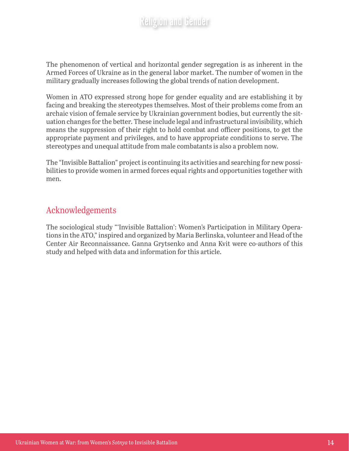The phenomenon of vertical and horizontal gender segregation is as inherent in the Armed Forces of Ukraine as in the general labor market. The number of women in the military gradually increases following the global trends of nation development.

Women in ATO expressed strong hope for gender equality and are establishing it by facing and breaking the stereotypes themselves. Most of their problems come from an archaic vision of female service by Ukrainian government bodies, but currently the situation changes for the better. These include legal and infrastructural invisibility, which means the suppression of their right to hold combat and officer positions, to get the appropriate payment and privileges, and to have appropriate conditions to serve. The stereotypes and unequal attitude from male combatants is also a problem now.

The "Invisible Battalion" project is continuing its activities and searching for new possibilities to provide women in armed forces equal rights and opportunities together with men.

#### Acknowledgements

The sociological study "'Invisible Battalion': Women's Participation in Military Operations in the ATO," inspired and organized by Maria Berlinska, volunteer and Head of the Center Air Reconnaissance. Ganna Grytsenko and Anna Kvit were co-authors of this study and helped with data and information for this article.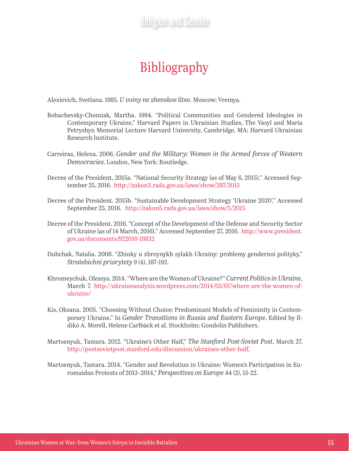# Bibliography

Alexievich, Svetlana. 1985. *U voiny ne zhenskoe litso*. Moscow: Vremya.

- Bohachevsky-Chomiak*,* Martha. 1994. "Political Communities and Gendered Ideologies in Contemporary Ukraine," Harvard Papers in Ukrainian Studies, The Vasyl and Maria Petryshyn Memorial Lecture Harvard University, Cambridge, MA: Harvard Ukrainian Research Institute.
- Carreiras, Helena. 2006. *Gender and the Military: Women in the Armed forces of Western Democracies*. London, New York: Routledge.
- Decree of the President. 2015a. "National Security Strategy (as of May 6, 2015)." Accessed September 25, 2016. <http://zakon3.rada.gov.ua/laws/show/287/2015>
- Decree of the President. 2015b. "Sustainable Development Strategy 'Ukraine 2020'." Accessed September 25, 2016. <http://zakon5.rada.gov.ua/laws/show/5/2015>
- Decree of the President. 2016. "Concept of the Development of the Defense and Security Sector of Ukraine (as of 14 March, 2016)." Accessed September 27, 2016. [http://www.president.](http://www.president.gov.ua/documents/922016-19832) [gov.ua/documents/922016-19832](http://www.president.gov.ua/documents/922016-19832)
- Dubchak, Natalia. 2008. "Zhinky u zbroynykh sylakh Ukraïny: problemy gendernoi polityky," *Stratehichni priorytety* 9 (4), 187-192.
- Khromeychuk, Olessya. 2014. "Where are the Women of Ukraine?" *Current Politics in Ukraine*, March 7. [http://ukraineanalysis.wordpress.com/2014/03/07/where-are-the-women-of](http://ukraineanalysis.wordpress.com/2014/03/07/where-are-the-women-of-ukraine/)[ukraine/](http://ukraineanalysis.wordpress.com/2014/03/07/where-are-the-women-of-ukraine/)
- Kis, Oksana. 2005. "Choosing Without Choice: Predominant Models of Femininity in Contemporary Ukraine." In *Gender Transitions in Russia and Eastern Europe*. Edited by Ildikó A. Morell, Helene Carlbäck et al. Stockholm: Gondolin Publishers.
- Martsenyuk, Tamara. 2012. "Ukraine's Other Half," *The Stanford Post-Soviet Post*, March 27, [http://postsovietpost.stanford.edu/discussion/ukraines-other-half.](http://postsovietpost.stanford.edu/discussion/ukraines-other-half)
- Martsenyuk, Tamara. 2014. "Gender and Revolution in Ukraine: Women's Participation in Euromaidan Protests of 2013–2014," *Perspectives on Europe* 44 (2), 15-22.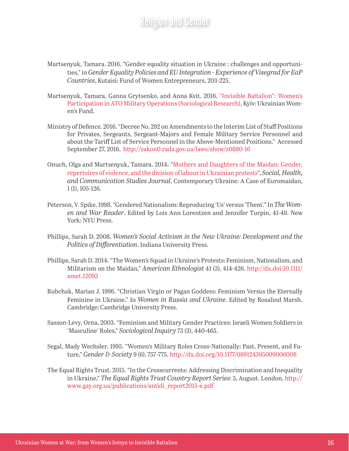- Martsenyuk, Tamara. 2016. "Gender equality situation in Ukraine : challenges and opportunities," in *Gender Equality Policies and EU Integration - Experience of Visegrad for EaP Countries*, Kutaisi: Fund of Women Entrepreneurs, 203-225.
- Martsenyuk, Tamara, Ganna Grytsenko, and Anna Kvit. 2016. ["Invisible Battalion": Women's](http://www2.unwomen.org/~/media/field office eca/attachments/publications/country/ukraine/invisible batallion study_eng_full.pdf?v=1&d=20160803T202734) [Participation in ATO Military Operations \(Sociological Research\)](http://www2.unwomen.org/~/media/field office eca/attachments/publications/country/ukraine/invisible batallion study_eng_full.pdf?v=1&d=20160803T202734), Kyïv: Ukrainian Women's Fund.
- Ministry of Defence. 2016. "Decree No. 292 on Amendments to the Interim List of Staff Positions for Privates, Sergeants, Sergeant-Majors and Female Military Service Personnel and about the Tariff List of Service Personnel in the Above-Mentioned Positions." Accessed September 27, 2016. <http://zakon0.rada.gov.ua/laws/show/z0880-16>
- Onuch, Olga and Martsenyuk, Tamara. 2014. "[Mothers and Daughters of the Maidan: Gender,](http://ekmair.ukma.kiev.ua/bitstream/123456789/3421/1/Martsenyuk_Mothers_and_Daughrers.pdf)  [repertoires of violence, and the division of labour in Ukrainian protests](http://ekmair.ukma.kiev.ua/bitstream/123456789/3421/1/Martsenyuk_Mothers_and_Daughrers.pdf)", *Social, Health, and Communication Studies Journal*, Contemporary Ukraine: A Case of Euromaidan, 1 (1), 105-126.
- Peterson, V. Spike. 1998. "Gendered Nationalism: Reproducing 'Us' versus 'Them'." In *The Women and War Reader*. Edited by Lois Ann Lorentzen and Jennifer Turpin, 41-49. New York: NYU Press.
- Phillips, Sarah D. 2008. *Women's Social Activism in the New Ukraine: Development and the Politics of Differentiation*. Indiana University Press.
- Phillips, Sarah D. 2014. "The Women's Squad in Ukraine's Protests: Feminism, Nationalism, and Militarism on the Maidan," *American Ethnologist* 41 (3), 414-426. [http://dx.doi:10.1111/](http://dx.doi:10.1111/amet.12093) [amet.12093](http://dx.doi:10.1111/amet.12093)
- Rubchak, Marian J. 1996. "Christian Virgin or Pagan Goddess: Feminism Versus the Eternally Feminine in Ukraine." In *Women in Russia and Ukraine*. Edited by Rosalind Marsh. Cambridge: Cambridge University Press.
- Sasson-Levy, Orna. 2003. "Feminism and Military Gender Practices: Israeli Women Soldiers in 'Masculine' Roles," *Sociological Inquiry* 73 (3), 440-465.
- Segal, Mady Wechsler. 1995. "Women's Military Roles Cross-Nationally: Past, Present, and Future," *Gender & Society* 9 (6), 757-775. <http://dx.doi.org/10.1177/089124395009006008>
- The Equal Rights Trust. 2015. "In the Crosscurrents: Addressing Discrimination and Inequality in Ukraine," *The Equal Rights Trust Country Report Series*: 5, August. London. [http://](http://www.gay.org.ua/publications/antidi_report2015-e.pdf) [www.gay.org.ua/publications/antidi\\_report2015-e.pdf](http://www.gay.org.ua/publications/antidi_report2015-e.pdf)